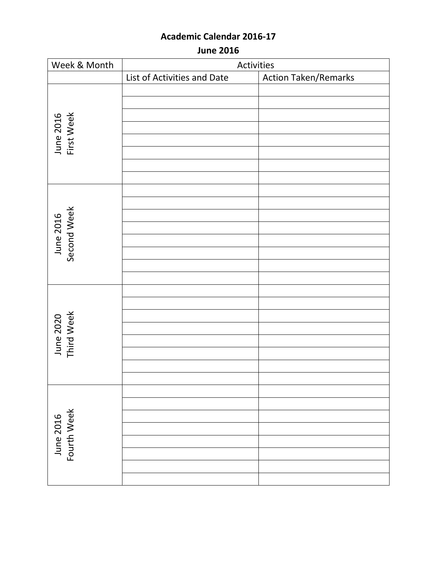**June 2016**

| Week & Month             | Activities                  |                             |
|--------------------------|-----------------------------|-----------------------------|
|                          | List of Activities and Date | <b>Action Taken/Remarks</b> |
|                          |                             |                             |
|                          |                             |                             |
| June 2016<br>First Week  |                             |                             |
|                          |                             |                             |
|                          |                             |                             |
|                          |                             |                             |
|                          |                             |                             |
|                          |                             |                             |
|                          |                             |                             |
|                          |                             |                             |
|                          |                             |                             |
| June 2016<br>Second Week |                             |                             |
|                          |                             |                             |
|                          |                             |                             |
|                          |                             |                             |
|                          |                             |                             |
|                          |                             |                             |
|                          |                             |                             |
|                          |                             |                             |
| June 2020<br>Third Week  |                             |                             |
|                          |                             |                             |
|                          |                             |                             |
|                          |                             |                             |
|                          |                             |                             |
|                          |                             |                             |
| June 2016<br>Fourth Week |                             |                             |
|                          |                             |                             |
|                          |                             |                             |
|                          |                             |                             |
|                          |                             |                             |
|                          |                             |                             |
|                          |                             |                             |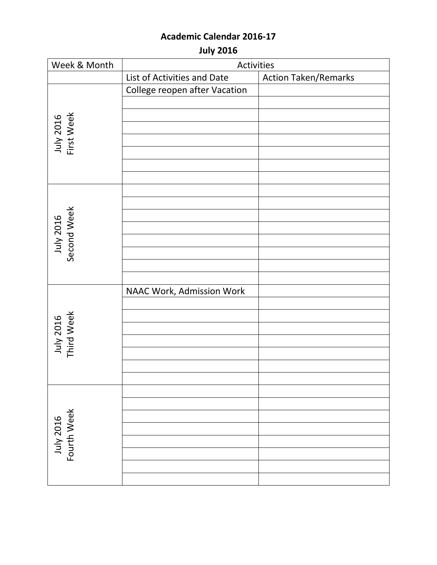**July 2016**

| Week & Month             | Activities                    |                             |
|--------------------------|-------------------------------|-----------------------------|
|                          | List of Activities and Date   | <b>Action Taken/Remarks</b> |
|                          | College reopen after Vacation |                             |
|                          |                               |                             |
|                          |                               |                             |
| July 2016<br>First Week  |                               |                             |
|                          |                               |                             |
|                          |                               |                             |
|                          |                               |                             |
|                          |                               |                             |
|                          |                               |                             |
|                          |                               |                             |
| July 2016<br>Second Week |                               |                             |
|                          |                               |                             |
|                          |                               |                             |
|                          |                               |                             |
|                          |                               |                             |
|                          |                               |                             |
|                          | NAAC Work, Admission Work     |                             |
|                          |                               |                             |
|                          |                               |                             |
| July 2016<br>Third Week  |                               |                             |
|                          |                               |                             |
|                          |                               |                             |
|                          |                               |                             |
|                          |                               |                             |
|                          |                               |                             |
| July 2016<br>Fourth Week |                               |                             |
|                          |                               |                             |
|                          |                               |                             |
|                          |                               |                             |
|                          |                               |                             |
|                          |                               |                             |
|                          |                               |                             |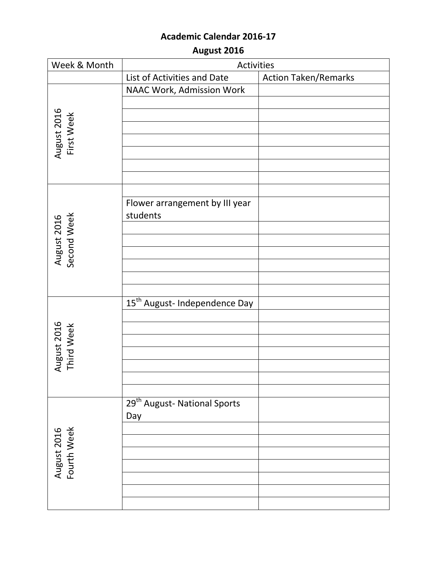**August 2016**

| Week & Month               | Activities                                 |                             |
|----------------------------|--------------------------------------------|-----------------------------|
|                            | List of Activities and Date                | <b>Action Taken/Remarks</b> |
|                            | NAAC Work, Admission Work                  |                             |
|                            |                                            |                             |
|                            |                                            |                             |
|                            |                                            |                             |
|                            |                                            |                             |
| August 2016<br>First Week  |                                            |                             |
|                            |                                            |                             |
|                            |                                            |                             |
|                            |                                            |                             |
|                            | Flower arrangement by III year<br>students |                             |
| August 2016<br>Second Week |                                            |                             |
|                            |                                            |                             |
|                            |                                            |                             |
|                            |                                            |                             |
|                            |                                            |                             |
|                            |                                            |                             |
|                            | 15 <sup>th</sup> August- Independence Day  |                             |
|                            |                                            |                             |
| August 2016<br>Third Week  |                                            |                             |
|                            |                                            |                             |
|                            |                                            |                             |
|                            |                                            |                             |
|                            |                                            |                             |
|                            | 29 <sup>th</sup> August- National Sports   |                             |
| August 2016<br>Fourth Week | Day                                        |                             |
|                            |                                            |                             |
|                            |                                            |                             |
|                            |                                            |                             |
|                            |                                            |                             |
|                            |                                            |                             |
|                            |                                            |                             |
|                            |                                            |                             |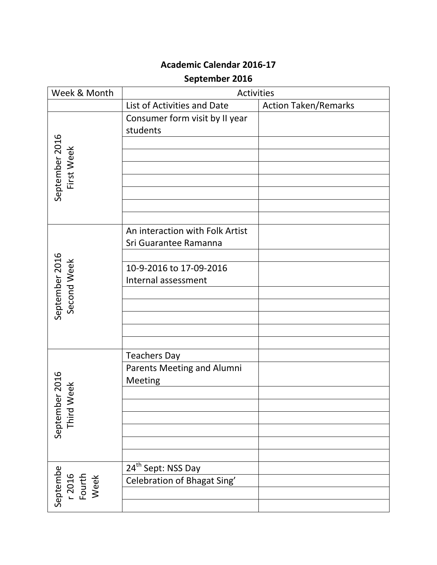# **September 2016**

| Week & Month                         | Activities                        |                             |
|--------------------------------------|-----------------------------------|-----------------------------|
|                                      | List of Activities and Date       | <b>Action Taken/Remarks</b> |
|                                      | Consumer form visit by II year    |                             |
|                                      | students                          |                             |
|                                      |                                   |                             |
|                                      |                                   |                             |
|                                      |                                   |                             |
| First Week                           |                                   |                             |
| September 2016                       |                                   |                             |
|                                      |                                   |                             |
|                                      |                                   |                             |
|                                      | An interaction with Folk Artist   |                             |
|                                      | Sri Guarantee Ramanna             |                             |
|                                      |                                   |                             |
|                                      | 10-9-2016 to 17-09-2016           |                             |
|                                      | Internal assessment               |                             |
| September 2016<br>Second Week        |                                   |                             |
|                                      |                                   |                             |
|                                      |                                   |                             |
|                                      |                                   |                             |
|                                      |                                   |                             |
|                                      | <b>Teachers Day</b>               |                             |
|                                      | <b>Parents Meeting and Alumni</b> |                             |
|                                      | Meeting                           |                             |
| ber 2016<br>Week                     |                                   |                             |
|                                      |                                   |                             |
| Septemb<br>Third                     |                                   |                             |
|                                      |                                   |                             |
|                                      |                                   |                             |
|                                      |                                   |                             |
| Septembe<br>r 2016<br>Fourth<br>Week | 24 <sup>th</sup> Sept: NSS Day    |                             |
|                                      | Celebration of Bhagat Sing'       |                             |
|                                      |                                   |                             |
|                                      |                                   |                             |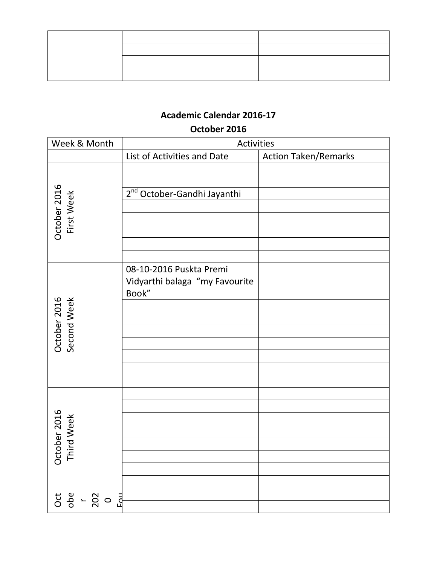#### **October 2016**

| Week & Month                | Activities                                                         |                             |
|-----------------------------|--------------------------------------------------------------------|-----------------------------|
|                             | List of Activities and Date                                        | <b>Action Taken/Remarks</b> |
| October 2016<br>First Week  | 2 <sup>nd</sup> October-Gandhi Jayanthi                            |                             |
| October 2016<br>Second Week | 08-10-2016 Puskta Premi<br>Vidyarthi balaga "my Favourite<br>Book" |                             |
| October 2016<br>Third Week  |                                                                    |                             |
|                             |                                                                    |                             |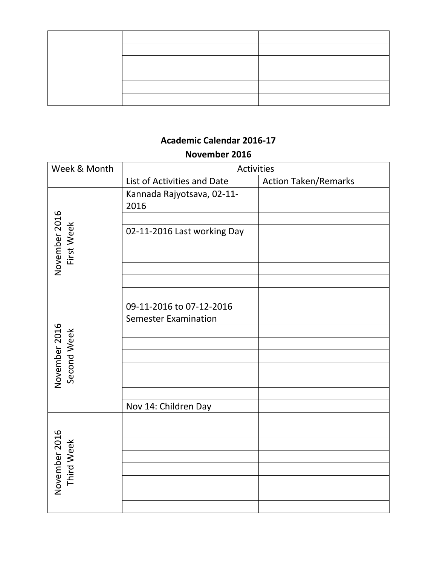#### **November 2016**

| Week & Month                | Activities                                              |                             |
|-----------------------------|---------------------------------------------------------|-----------------------------|
|                             | List of Activities and Date                             | <b>Action Taken/Remarks</b> |
|                             | Kannada Rajyotsava, 02-11-<br>2016                      |                             |
|                             | 02-11-2016 Last working Day                             |                             |
| November 2016<br>First Week |                                                         |                             |
|                             |                                                         |                             |
|                             | 09-11-2016 to 07-12-2016<br><b>Semester Examination</b> |                             |
| November 2016               |                                                         |                             |
| Second Week                 |                                                         |                             |
|                             |                                                         |                             |
|                             |                                                         |                             |
|                             | Nov 14: Children Day                                    |                             |
| November 2016<br>Third Week |                                                         |                             |
|                             |                                                         |                             |
|                             |                                                         |                             |
|                             |                                                         |                             |
|                             |                                                         |                             |
|                             |                                                         |                             |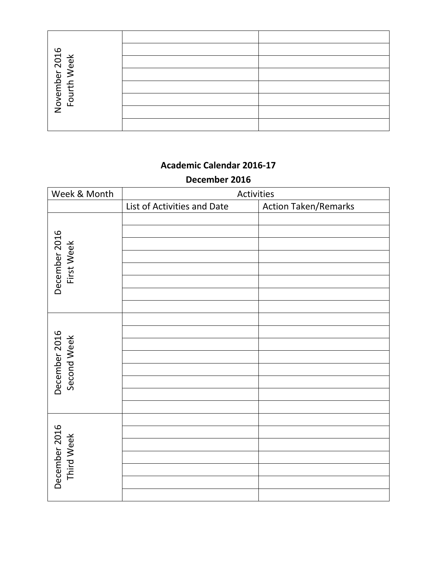| November 2016<br>Fourth Week |  |
|------------------------------|--|
|                              |  |
|                              |  |
|                              |  |

#### **December 2016**

| Week & Month                 | Activities                  |                             |
|------------------------------|-----------------------------|-----------------------------|
|                              | List of Activities and Date | <b>Action Taken/Remarks</b> |
| December 2016<br>First Week  |                             |                             |
| December 2016<br>Second Week |                             |                             |
| December 2016<br>Third Week  |                             |                             |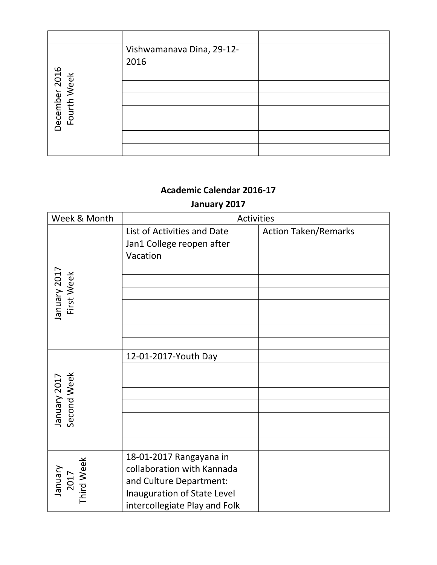|                              | Vishwamanava Dina, 29-12- |  |
|------------------------------|---------------------------|--|
|                              | 2016                      |  |
|                              |                           |  |
| December 2016<br>Fourth Week |                           |  |
|                              |                           |  |
|                              |                           |  |
|                              |                           |  |
|                              |                           |  |
|                              |                           |  |

# **January 2017**

| Week & Month                 | Activities                                                                                                      |                             |
|------------------------------|-----------------------------------------------------------------------------------------------------------------|-----------------------------|
|                              | List of Activities and Date                                                                                     | <b>Action Taken/Remarks</b> |
|                              | Jan1 College reopen after<br>Vacation                                                                           |                             |
|                              |                                                                                                                 |                             |
| January 2017<br>First Week   |                                                                                                                 |                             |
|                              |                                                                                                                 |                             |
|                              |                                                                                                                 |                             |
|                              | 12-01-2017-Youth Day                                                                                            |                             |
|                              |                                                                                                                 |                             |
| Second Week<br>January 2017  |                                                                                                                 |                             |
|                              |                                                                                                                 |                             |
|                              |                                                                                                                 |                             |
|                              |                                                                                                                 |                             |
|                              |                                                                                                                 |                             |
| Third Week<br>TOZ<br>Arenuer | 18-01-2017 Rangayana in<br>collaboration with Kannada<br>and Culture Department:<br>Inauguration of State Level |                             |
|                              | intercollegiate Play and Folk                                                                                   |                             |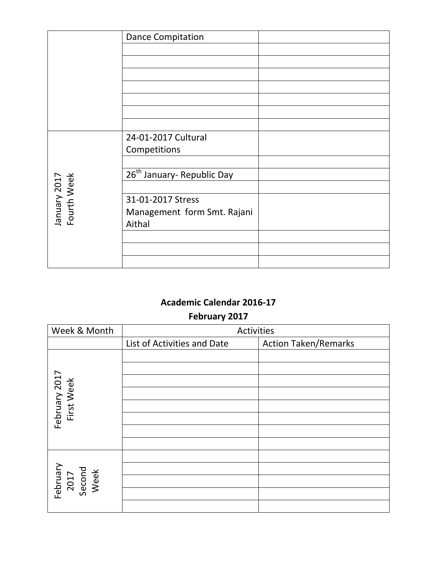|                             | <b>Dance Compitation</b>               |  |
|-----------------------------|----------------------------------------|--|
|                             |                                        |  |
|                             |                                        |  |
|                             |                                        |  |
|                             |                                        |  |
|                             |                                        |  |
|                             |                                        |  |
|                             |                                        |  |
|                             | 24-01-2017 Cultural                    |  |
|                             | Competitions                           |  |
|                             |                                        |  |
|                             | 26 <sup>th</sup> January- Republic Day |  |
|                             |                                        |  |
| January 2017<br>Fourth Week | 31-01-2017 Stress                      |  |
|                             | Management form Smt. Rajani            |  |
|                             | Aithal                                 |  |
|                             |                                        |  |
|                             |                                        |  |
|                             |                                        |  |

# **February 2017**

| Week & Month                       | Activities                  |                             |
|------------------------------------|-----------------------------|-----------------------------|
|                                    | List of Activities and Date | <b>Action Taken/Remarks</b> |
|                                    |                             |                             |
|                                    |                             |                             |
|                                    |                             |                             |
|                                    |                             |                             |
|                                    |                             |                             |
| February 2017<br>First Week        |                             |                             |
|                                    |                             |                             |
|                                    |                             |                             |
|                                    |                             |                             |
| February<br>2017<br>Second<br>Week |                             |                             |
|                                    |                             |                             |
|                                    |                             |                             |
|                                    |                             |                             |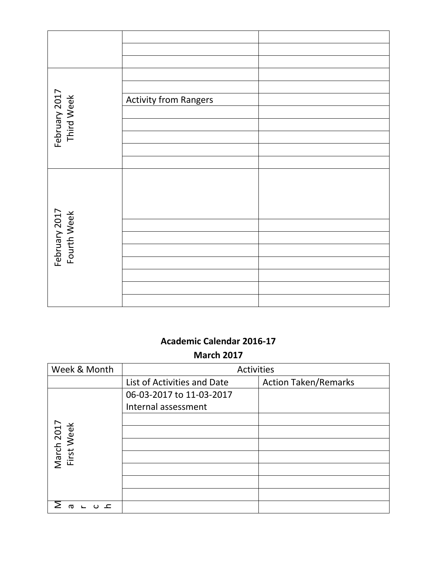| February 2017<br>Third Week  | <b>Activity from Rangers</b> |  |
|------------------------------|------------------------------|--|
|                              |                              |  |
|                              |                              |  |
|                              |                              |  |
|                              |                              |  |
|                              |                              |  |
|                              |                              |  |
|                              |                              |  |
|                              |                              |  |
| February 2017<br>Fourth Week |                              |  |
|                              |                              |  |
|                              |                              |  |
|                              |                              |  |
|                              |                              |  |
|                              |                              |  |
|                              |                              |  |
|                              |                              |  |

# **Academic Calendar 2016-17 March 2017**

| Week & Month             | <b>Activities</b>           |                             |
|--------------------------|-----------------------------|-----------------------------|
|                          | List of Activities and Date | <b>Action Taken/Remarks</b> |
|                          | 06-03-2017 to 11-03-2017    |                             |
|                          | Internal assessment         |                             |
|                          |                             |                             |
| March 2017<br>First Week |                             |                             |
|                          |                             |                             |
|                          |                             |                             |
|                          |                             |                             |
|                          |                             |                             |
|                          |                             |                             |
| ത                        |                             |                             |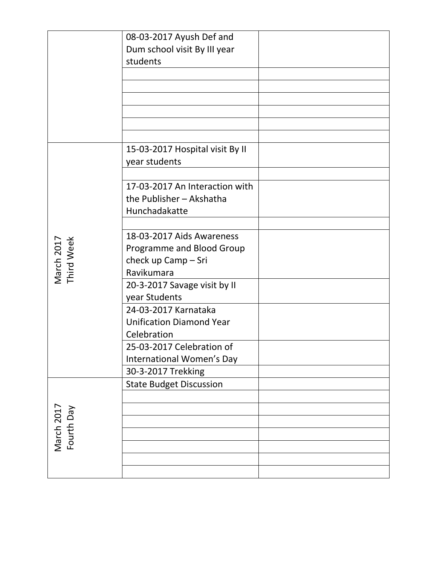|                          | 08-03-2017 Ayush Def and        |  |
|--------------------------|---------------------------------|--|
|                          | Dum school visit By III year    |  |
|                          | students                        |  |
|                          |                                 |  |
|                          |                                 |  |
|                          |                                 |  |
|                          |                                 |  |
|                          |                                 |  |
|                          |                                 |  |
|                          | 15-03-2017 Hospital visit By II |  |
|                          | year students                   |  |
|                          |                                 |  |
|                          | 17-03-2017 An Interaction with  |  |
|                          | the Publisher - Akshatha        |  |
|                          | Hunchadakatte                   |  |
|                          |                                 |  |
|                          | 18-03-2017 Aids Awareness       |  |
|                          | Programme and Blood Group       |  |
|                          | check up Camp - Sri             |  |
| March 2017<br>Third Week | Ravikumara                      |  |
|                          | 20-3-2017 Savage visit by II    |  |
|                          | year Students                   |  |
|                          | 24-03-2017 Karnataka            |  |
|                          | <b>Unification Diamond Year</b> |  |
|                          | Celebration                     |  |
|                          | 25-03-2017 Celebration of       |  |
|                          | International Women's Day       |  |
|                          | 30-3-2017 Trekking              |  |
|                          | <b>State Budget Discussion</b>  |  |
|                          |                                 |  |
| March 2017<br>Fourth Day |                                 |  |
|                          |                                 |  |
|                          |                                 |  |
|                          |                                 |  |
|                          |                                 |  |
|                          |                                 |  |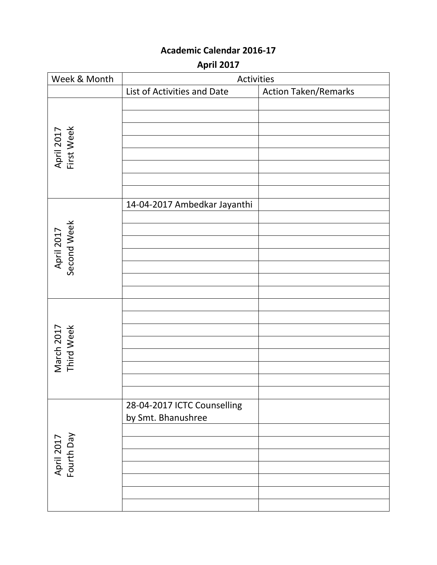**April 2017**

| Week & Month              | Activities                                        |                             |
|---------------------------|---------------------------------------------------|-----------------------------|
|                           | List of Activities and Date                       | <b>Action Taken/Remarks</b> |
| April 2017<br>First Week  |                                                   |                             |
| April 2017<br>Second Week | 14-04-2017 Ambedkar Jayanthi                      |                             |
| March 2017<br>Third Week  |                                                   |                             |
| April 2017<br>Fourth Day  | 28-04-2017 ICTC Counselling<br>by Smt. Bhanushree |                             |